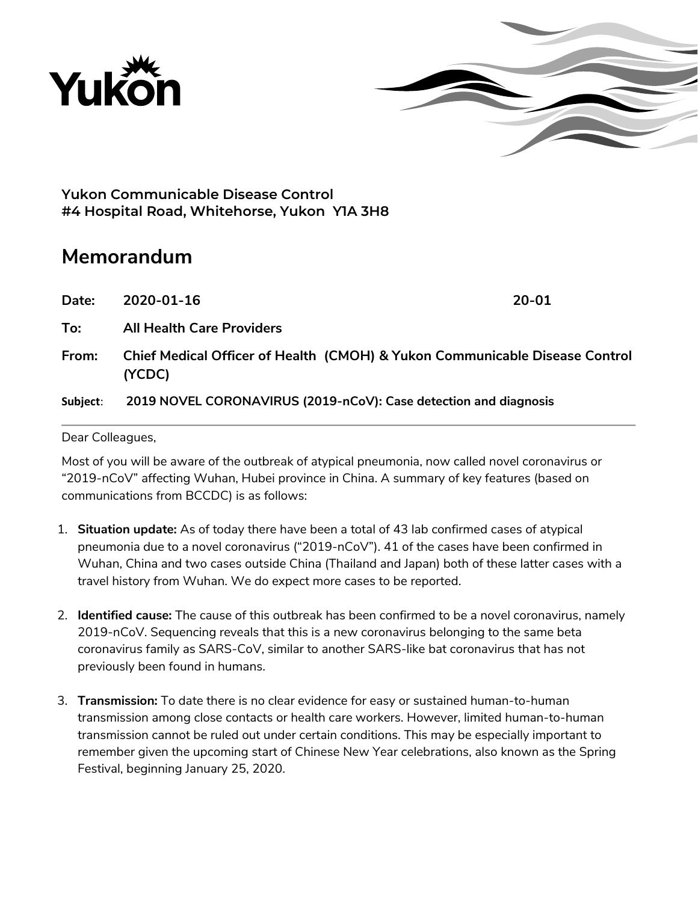



**Yukon Communicable Disease Control #4 Hospital Road, Whitehorse, Yukon Y1A 3H8**

# **Memorandum**

**Date: 2020-01-16 20-01**

**To: All Health Care Providers**

**From: Chief Medical Officer of Health (CMOH) & Yukon Communicable Disease Control (YCDC)** 

**Subject**: **2019 NOVEL CORONAVIRUS (2019-nCoV): Case detection and diagnosis**

#### Dear Colleagues,

Most of you will be aware of the outbreak of atypical pneumonia, now called novel coronavirus or "2019-nCoV" affecting Wuhan, Hubei province in China. A summary of key features (based on communications from BCCDC) is as follows:

- 1. **Situation update:** As of today there have been a total of 43 lab confirmed cases of atypical pneumonia due to a novel coronavirus ("2019-nCoV"). 41 of the cases have been confirmed in Wuhan, China and two cases outside China (Thailand and Japan) both of these latter cases with a travel history from Wuhan. We do expect more cases to be reported.
- 2. **Identified cause:** The cause of this outbreak has been confirmed to be a novel coronavirus, namely 2019-nCoV. Sequencing reveals that this is a new coronavirus belonging to the same beta coronavirus family as SARS-CoV, similar to another SARS-like bat coronavirus that has not previously been found in humans.
- 3. **Transmission:** To date there is no clear evidence for easy or sustained human-to-human transmission among close contacts or health care workers. However, limited human-to-human transmission cannot be ruled out under certain conditions. This may be especially important to remember given the upcoming start of Chinese New Year celebrations, also known as the Spring Festival, beginning January 25, 2020.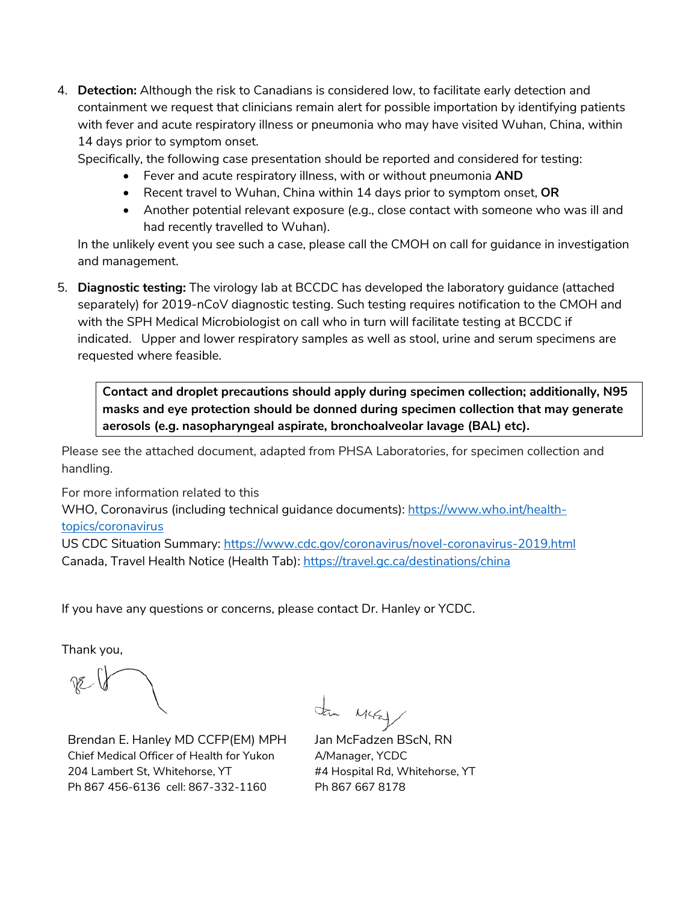4. **Detection:** Although the risk to Canadians is considered low, to facilitate early detection and containment we request that clinicians remain alert for possible importation by identifying patients with fever and acute respiratory illness or pneumonia who may have visited Wuhan, China, within 14 days prior to symptom onset.

Specifically, the following case presentation should be reported and considered for testing:

- Fever and acute respiratory illness, with or without pneumonia **AND**
- Recent travel to Wuhan, China within 14 days prior to symptom onset, **OR**
- Another potential relevant exposure (e.g., close contact with someone who was ill and had recently travelled to Wuhan).

In the unlikely event you see such a case, please call the CMOH on call for guidance in investigation and management.

5. **Diagnostic testing:** The virology lab at BCCDC has developed the laboratory guidance (attached separately) for 2019-nCoV diagnostic testing. Such testing requires notification to the CMOH and with the SPH Medical Microbiologist on call who in turn will facilitate testing at BCCDC if indicated. Upper and lower respiratory samples as well as stool, urine and serum specimens are requested where feasible.

**Contact and droplet precautions should apply during specimen collection; additionally, N95 masks and eye protection should be donned during specimen collection that may generate aerosols (e.g. nasopharyngeal aspirate, bronchoalveolar lavage (BAL) etc).**

Please see the attached document, adapted from PHSA Laboratories, for specimen collection and handling.

For more information related to this

WHO, Coronavirus (including technical guidance documents): [https://www.who.int/health](https://www.who.int/health-topics/coronavirus)[topics/coronavirus](https://www.who.int/health-topics/coronavirus)

US CDC Situation Summary:<https://www.cdc.gov/coronavirus/novel-coronavirus-2019.html> Canada, Travel Health Notice (Health Tab):<https://travel.gc.ca/destinations/china>

If you have any questions or concerns, please contact Dr. Hanley or YCDC.

Thank you,

Brendan E. Hanley MD CCFP(EM) MPH Chief Medical Officer of Health for Yukon 204 Lambert St, Whitehorse, YT Ph 867 456-6136 cell: 867-332-1160

Mural

Jan McFadzen BScN, RN A/Manager, YCDC #4 Hospital Rd, Whitehorse, YT Ph 867 667 8178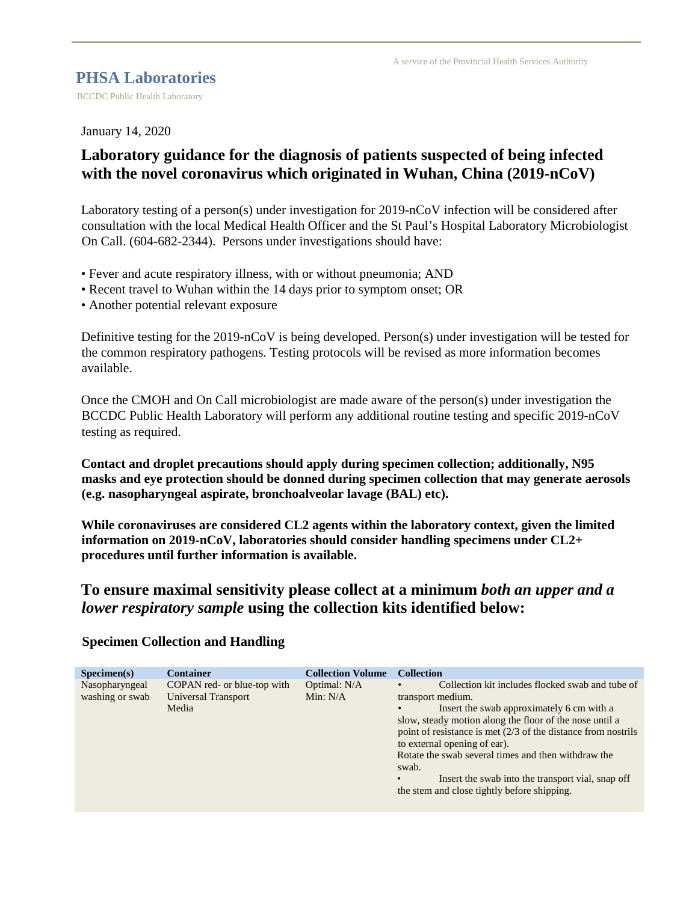#### **PHSA Laboratories**

BCCDC Public Health Laboratory

January 14, 2020

## **Laboratory guidance for the diagnosis of patients suspected of being infected with the novel coronavirus which originated in Wuhan, China (2019-nCoV)**

Laboratory testing of a person(s) under investigation for 2019-nCoV infection will be considered after consultation with the local Medical Health Officer and the St Paul's Hospital Laboratory Microbiologist On Call. (604-682-2344). Persons under investigations should have:

- Fever and acute respiratory illness, with or without pneumonia; AND
- Recent travel to Wuhan within the 14 days prior to symptom onset; OR
- Another potential relevant exposure

Definitive testing for the 2019-nCoV is being developed. Person(s) under investigation will be tested for the common respiratory pathogens. Testing protocols will be revised as more information becomes available.

Once the CMOH and On Call microbiologist are made aware of the person(s) under investigation the BCCDC Public Health Laboratory will perform any additional routine testing and specific 2019-nCoV testing as required.

**Contact and droplet precautions should apply during specimen collection; additionally, N95 masks and eye protection should be donned during specimen collection that may generate aerosols (e.g. nasopharyngeal aspirate, bronchoalveolar lavage (BAL) etc).** 

**While coronaviruses are considered CL2 agents within the laboratory context, given the limited information on 2019-nCoV, laboratories should consider handling specimens under CL2+ procedures until further information is available.** 

### **To ensure maximal sensitivity please collect at a minimum** *both an upper and a lower respiratory sample* **using the collection kits identified below:**

|                 | <b>Container</b>             | <b>Collection Volume</b> | <b>Collection</b>                                                |
|-----------------|------------------------------|--------------------------|------------------------------------------------------------------|
| Specimen(s)     |                              |                          |                                                                  |
| Nasopharyngeal  | COPAN red- or blue-top with  | Optimal: N/A             | Collection kit includes flocked swab and tube of<br>$\bullet$    |
| washing or swab | Universal Transport<br>Media | Min: $N/A$               | transport medium.                                                |
|                 |                              |                          | Insert the swab approximately 6 cm with a<br>$\bullet$           |
|                 |                              |                          | slow, steady motion along the floor of the nose until a          |
|                 |                              |                          | point of resistance is met $(2/3)$ of the distance from nostrils |
|                 |                              |                          | to external opening of ear).                                     |
|                 |                              |                          | Rotate the swab several times and then withdraw the              |
|                 |                              |                          | swab.                                                            |
|                 |                              |                          | Insert the swab into the transport vial, snap off                |
|                 |                              |                          | the stem and close tightly before shipping.                      |
|                 |                              |                          |                                                                  |

#### **Specimen Collection and Handling**